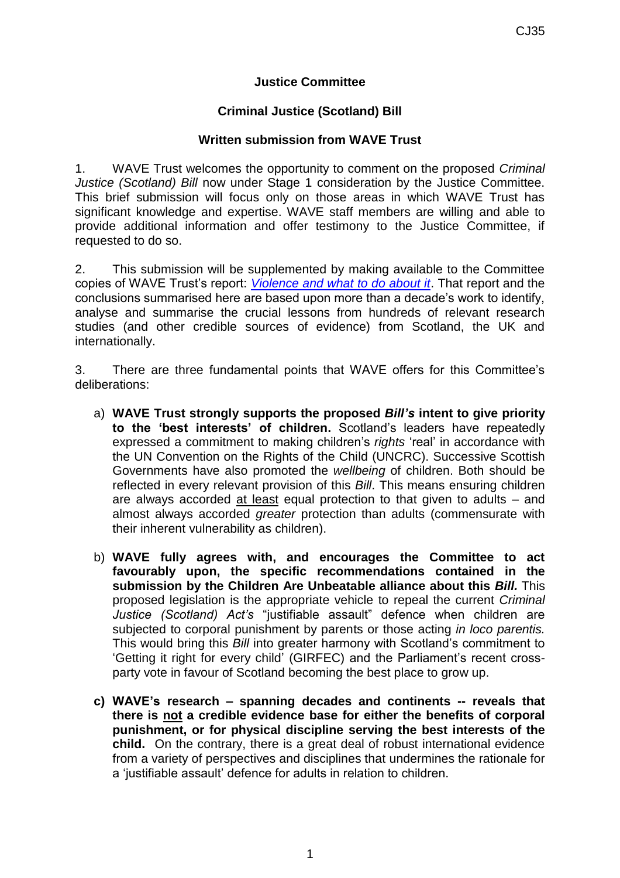## **Justice Committee**

## **Criminal Justice (Scotland) Bill**

## **Written submission from WAVE Trust**

1. WAVE Trust welcomes the opportunity to comment on the proposed *Criminal Justice (Scotland) Bill* now under Stage 1 consideration by the Justice Committee. This brief submission will focus only on those areas in which WAVE Trust has significant knowledge and expertise. WAVE staff members are willing and able to provide additional information and offer testimony to the Justice Committee, if requested to do so.

2. This submission will be supplemented by making available to the Committee copies of WAVE Trust's report: *[Violence and what to do about it](http://www.wavetrust.org/key-publications/reports/wave-report-2005-violence-and-what-do-about-it-0)*. That report and the conclusions summarised here are based upon more than a decade's work to identify, analyse and summarise the crucial lessons from hundreds of relevant research studies (and other credible sources of evidence) from Scotland, the UK and internationally.

3. There are three fundamental points that WAVE offers for this Committee's deliberations:

- a) **WAVE Trust strongly supports the proposed** *Bill's* **intent to give priority to the 'best interests' of children.** Scotland's leaders have repeatedly expressed a commitment to making children's *rights* 'real' in accordance with the UN Convention on the Rights of the Child (UNCRC). Successive Scottish Governments have also promoted the *wellbeing* of children. Both should be reflected in every relevant provision of this *Bill*. This means ensuring children are always accorded at least equal protection to that given to adults – and almost always accorded *greater* protection than adults (commensurate with their inherent vulnerability as children).
- b) **WAVE fully agrees with, and encourages the Committee to act favourably upon, the specific recommendations contained in the submission by the Children Are Unbeatable alliance about this** *Bill.* This proposed legislation is the appropriate vehicle to repeal the current *Criminal Justice (Scotland) Act's* "justifiable assault" defence when children are subjected to corporal punishment by parents or those acting *in loco parentis.* This would bring this *Bill* into greater harmony with Scotland's commitment to 'Getting it right for every child' (GIRFEC) and the Parliament's recent crossparty vote in favour of Scotland becoming the best place to grow up.
- **c) WAVE's research – spanning decades and continents -- reveals that there is not a credible evidence base for either the benefits of corporal punishment, or for physical discipline serving the best interests of the child.** On the contrary, there is a great deal of robust international evidence from a variety of perspectives and disciplines that undermines the rationale for a 'justifiable assault' defence for adults in relation to children.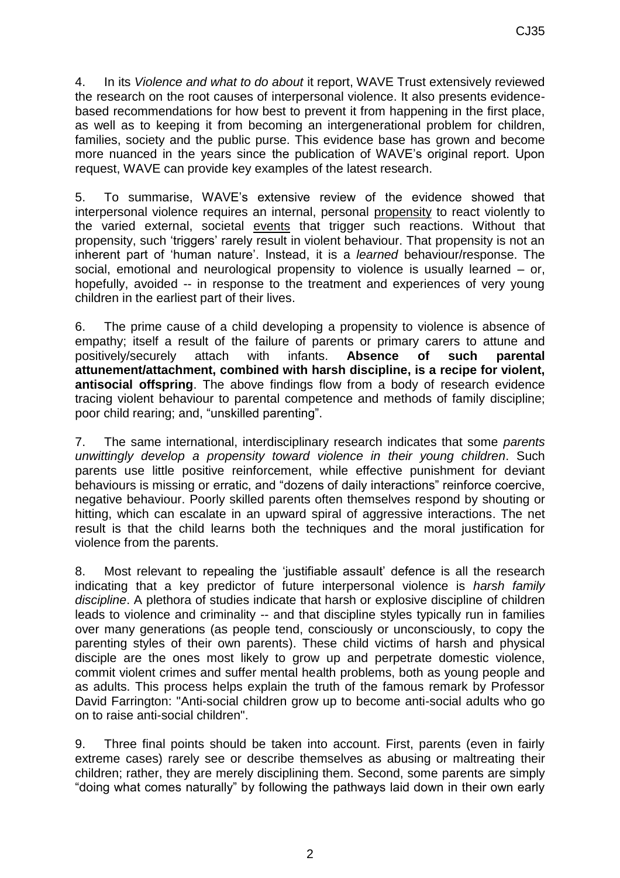4. In its *Violence and what to do about* it report, WAVE Trust extensively reviewed the research on the root causes of interpersonal violence. It also presents evidencebased recommendations for how best to prevent it from happening in the first place, as well as to keeping it from becoming an intergenerational problem for children, families, society and the public purse. This evidence base has grown and become more nuanced in the years since the publication of WAVE's original report. Upon request, WAVE can provide key examples of the latest research.

5. To summarise, WAVE's extensive review of the evidence showed that interpersonal violence requires an internal, personal propensity to react violently to the varied external, societal events that trigger such reactions. Without that propensity, such 'triggers' rarely result in violent behaviour. That propensity is not an inherent part of 'human nature'. Instead, it is a *learned* behaviour/response. The social, emotional and neurological propensity to violence is usually learned – or, hopefully, avoided -- in response to the treatment and experiences of very young children in the earliest part of their lives.

6. The prime cause of a child developing a propensity to violence is absence of empathy; itself a result of the failure of parents or primary carers to attune and positively/securely attach with infants. **Absence of such parental attunement/attachment, combined with harsh discipline, is a recipe for violent, antisocial offspring**. The above findings flow from a body of research evidence tracing violent behaviour to parental competence and methods of family discipline; poor child rearing; and, "unskilled parenting".

7. The same international, interdisciplinary research indicates that some *parents unwittingly develop a propensity toward violence in their young children*. Such parents use little positive reinforcement, while effective punishment for deviant behaviours is missing or erratic, and "dozens of daily interactions" reinforce coercive, negative behaviour. Poorly skilled parents often themselves respond by shouting or hitting, which can escalate in an upward spiral of aggressive interactions. The net result is that the child learns both the techniques and the moral justification for violence from the parents.

8. Most relevant to repealing the 'justifiable assault' defence is all the research indicating that a key predictor of future interpersonal violence is *harsh family discipline*. A plethora of studies indicate that harsh or explosive discipline of children leads to violence and criminality -- and that discipline styles typically run in families over many generations (as people tend, consciously or unconsciously, to copy the parenting styles of their own parents). These child victims of harsh and physical disciple are the ones most likely to grow up and perpetrate domestic violence, commit violent crimes and suffer mental health problems, both as young people and as adults. This process helps explain the truth of the famous remark by Professor David Farrington: "Anti-social children grow up to become anti-social adults who go on to raise anti-social children".

9. Three final points should be taken into account. First, parents (even in fairly extreme cases) rarely see or describe themselves as abusing or maltreating their children; rather, they are merely disciplining them. Second, some parents are simply "doing what comes naturally" by following the pathways laid down in their own early